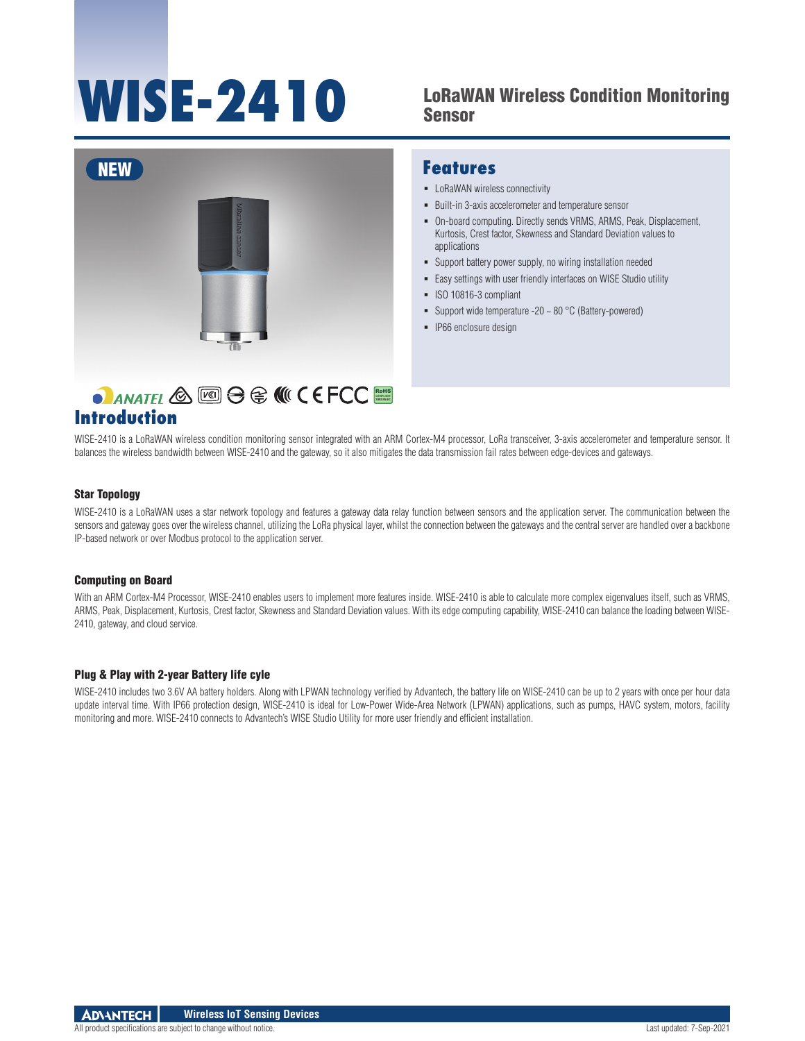# **WISE-2410**

## LoRaWAN Wireless Condition Monitoring Sensor



## RoHS **COMPLIANT 2002/95/EC**

## **Introduction**

## **Features**

- **-** LoRaWAN wireless connectivity
- Built-in 3-axis accelerometer and temperature sensor
- On-board computing. Directly sends VRMS, ARMS, Peak, Displacement, Kurtosis, Crest factor, Skewness and Standard Deviation values to applications
- Support battery power supply, no wiring installation needed
- Easy settings with user friendly interfaces on WISE Studio utility
- ISO 10816-3 compliant
- Support wide temperature -20  $\sim$  80 °C (Battery-powered)
- **IP66** enclosure design

WISE-2410 is a LoRaWAN wireless condition monitoring sensor integrated with an ARM Cortex-M4 processor, LoRa transceiver, 3-axis accelerometer and temperature sensor. It balances the wireless bandwidth between WISE-2410 and the gateway, so it also mitigates the data transmission fail rates between edge-devices and gateways.

#### Star Topology

WISE-2410 is a LoRaWAN uses a star network topology and features a gateway data relay function between sensors and the application server. The communication between the sensors and gateway goes over the wireless channel, utilizing the LoRa physical layer, whilst the connection between the gateways and the central server are handled over a backbone IP-based network or over Modbus protocol to the application server.

#### Computing on Board

With an ARM Cortex-M4 Processor, WISE-2410 enables users to implement more features inside. WISE-2410 is able to calculate more complex eigenvalues itself, such as VRMS, ARMS, Peak, Displacement, Kurtosis, Crest factor, Skewness and Standard Deviation values. With its edge computing capability, WISE-2410 can balance the loading between WISE-2410, gateway, and cloud service.

#### Plug & Play with 2-year Battery life cyle

WISE-2410 includes two 3.6V AA battery holders. Along with LPWAN technology verified by Advantech, the battery life on WISE-2410 can be up to 2 years with once per hour data update interval time. With IP66 protection design, WISE-2410 is ideal for Low-Power Wide-Area Network (LPWAN) applications, such as pumps, HAVC system, motors, facility monitoring and more. WISE-2410 connects to Advantech's WISE Studio Utility for more user friendly and efficient installation.